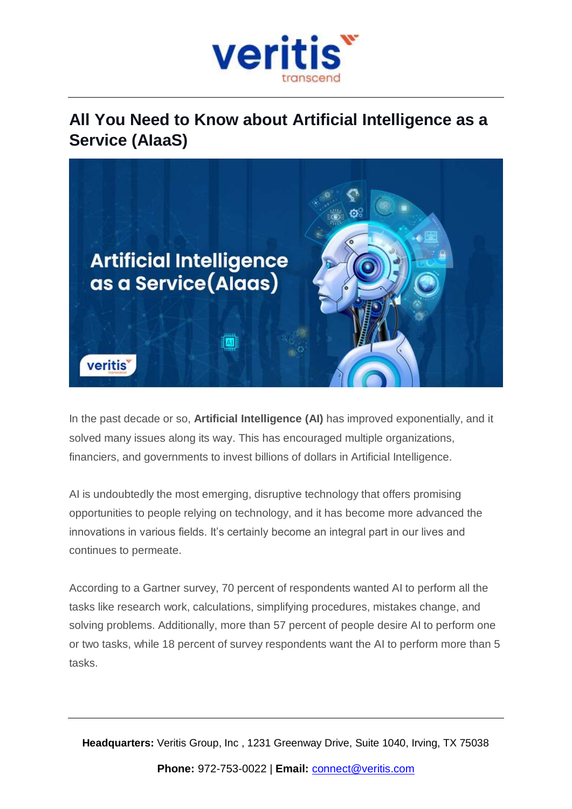

# **All You Need to Know about Artificial Intelligence as a Service (AIaaS)**



In the past decade or so, **Artificial Intelligence (AI)** has improved exponentially, and it solved many issues along its way. This has encouraged multiple organizations, financiers, and governments to invest billions of dollars in Artificial Intelligence.

AI is undoubtedly the most emerging, disruptive technology that offers promising opportunities to people relying on technology, and it has become more advanced the innovations in various fields. It's certainly become an integral part in our lives and continues to permeate.

According to a Gartner survey, 70 percent of respondents wanted AI to perform all the tasks like research work, calculations, simplifying procedures, mistakes change, and solving problems. Additionally, more than 57 percent of people desire AI to perform one or two tasks, while 18 percent of survey respondents want the AI to perform more than 5 tasks.

**Headquarters:** Veritis Group, Inc , 1231 Greenway Drive, Suite 1040, Irving, TX 75038 **Phone:** 972-753-0022 | **Email:** [connect@veritis.com](mailto:connect@veritis.com)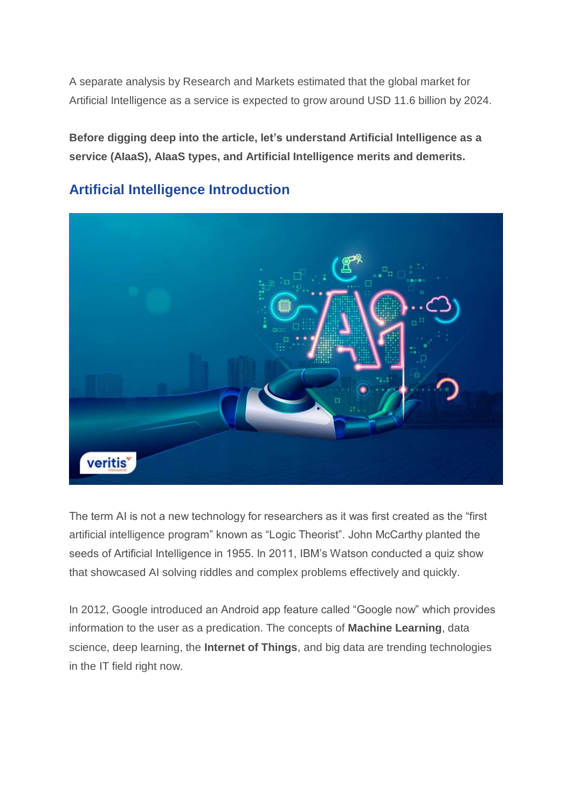A separate analysis by Research and Markets estimated that the global market for Artificial Intelligence as a service is expected to grow around USD 11.6 billion by 2024.

**Before digging deep into the article, let's understand Artificial Intelligence as a service (AIaaS), AIaaS types, and Artificial Intelligence merits and demerits.**



# **Artificial Intelligence Introduction**

The term AI is not a new technology for researchers as it was first created as the "first artificial intelligence program" known as "Logic Theorist". John McCarthy planted the seeds of Artificial Intelligence in 1955. In 2011, IBM's Watson conducted a quiz show that showcased AI solving riddles and complex problems effectively and quickly.

In 2012, Google introduced an Android app feature called "Google now" which provides information to the user as a predication. The concepts of **Machine Learning**, data science, deep learning, the **Internet of Things**, and big data are trending technologies in the IT field right now.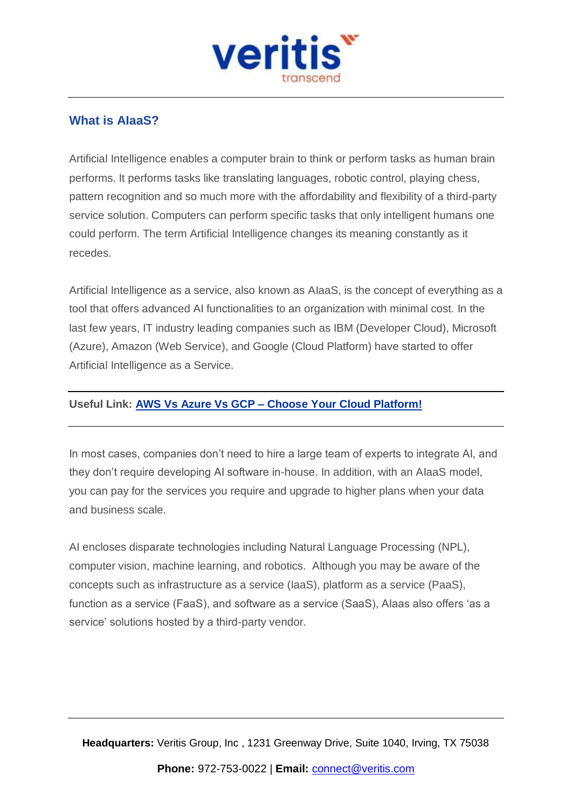

# **What is AIaaS?**

Artificial Intelligence enables a computer brain to think or perform tasks as human brain performs. It performs tasks like translating languages, robotic control, playing chess, pattern recognition and so much more with the affordability and flexibility of a third-party service solution. Computers can perform specific tasks that only intelligent humans one could perform. The term Artificial Intelligence changes its meaning constantly as it recedes.

Artificial Intelligence as a service, also known as AIaaS, is the concept of everything as a tool that offers advanced AI functionalities to an organization with minimal cost. In the last few years, IT industry leading companies such as IBM (Developer Cloud), Microsoft (Azure), Amazon (Web Service), and Google (Cloud Platform) have started to offer Artificial Intelligence as a Service.

#### **Useful Link: AWS Vs Azure Vs GCP – Choose Your Cloud [Platform!](https://www.veritis.com/blog/aws-vs-azure-vs-gcp-the-cloud-platform-of-your-choice/)**

In most cases, companies don't need to hire a large team of experts to integrate AI, and they don't require developing AI software in-house. In addition, with an AIaaS model, you can pay for the services you require and upgrade to higher plans when your data and business scale.

AI encloses disparate technologies including Natural Language Processing (NPL), computer vision, machine learning, and robotics. Although you may be aware of the concepts such as infrastructure as a service (IaaS), platform as a service (PaaS), function as a service (FaaS), and software as a service (SaaS), AIaas also offers 'as a service' solutions hosted by a third-party vendor.

**Headquarters:** Veritis Group, Inc , 1231 Greenway Drive, Suite 1040, Irving, TX 75038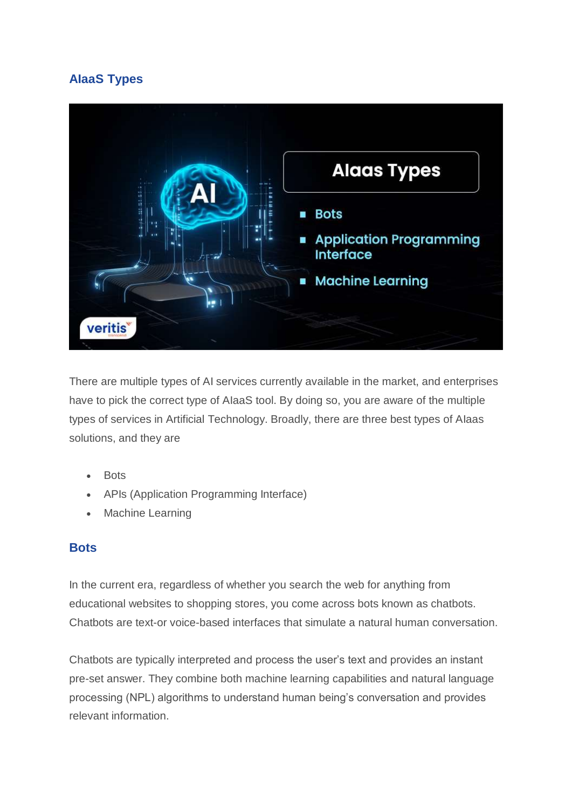# **AIaaS Types**



There are multiple types of AI services currently available in the market, and enterprises have to pick the correct type of AIaaS tool. By doing so, you are aware of the multiple types of services in Artificial Technology. Broadly, there are three best types of AIaas solutions, and they are

- **Bots**
- APIs (Application Programming Interface)
- Machine Learning

#### **Bots**

In the current era, regardless of whether you search the web for anything from educational websites to shopping stores, you come across bots known as chatbots. Chatbots are text-or voice-based interfaces that simulate a natural human conversation.

Chatbots are typically interpreted and process the user's text and provides an instant pre-set answer. They combine both machine learning capabilities and natural language processing (NPL) algorithms to understand human being's conversation and provides relevant information.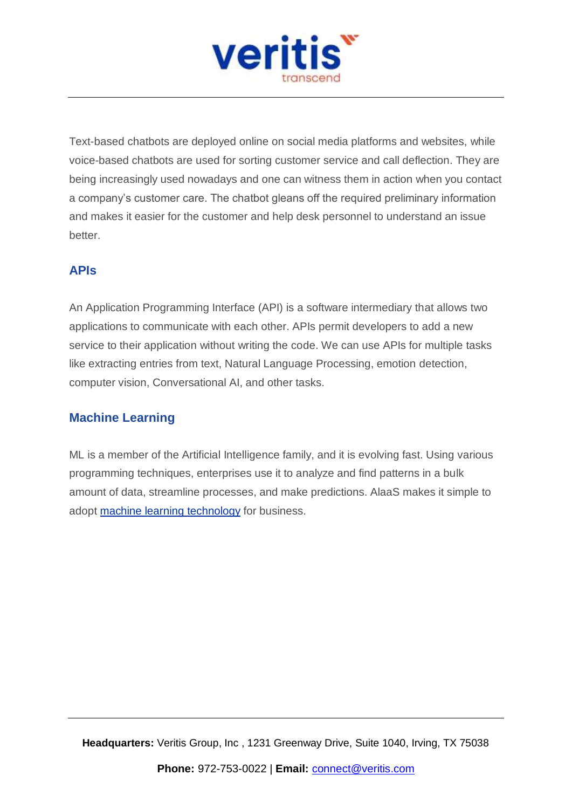

Text-based chatbots are deployed online on social media platforms and websites, while voice-based chatbots are used for sorting customer service and call deflection. They are being increasingly used nowadays and one can witness them in action when you contact a company's customer care. The chatbot gleans off the required preliminary information and makes it easier for the customer and help desk personnel to understand an issue better.

## **APIs**

An Application Programming Interface (API) is a software intermediary that allows two applications to communicate with each other. APIs permit developers to add a new service to their application without writing the code. We can use APIs for multiple tasks like extracting entries from text, Natural Language Processing, emotion detection, computer vision, Conversational AI, and other tasks.

## **Machine Learning**

ML is a member of the Artificial Intelligence family, and it is evolving fast. Using various programming techniques, enterprises use it to analyze and find patterns in a bulk amount of data, streamline processes, and make predictions. AlaaS makes it simple to adopt machine learning [technology](https://www.veritis.com/blog/top-15-aws-machine-learning-tools-in-the-cloud/) for business.

**Headquarters:** Veritis Group, Inc , 1231 Greenway Drive, Suite 1040, Irving, TX 75038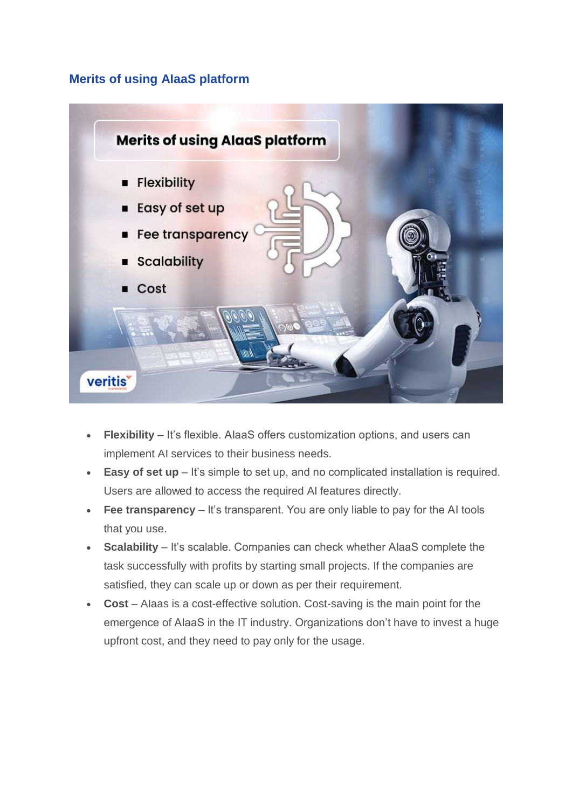#### **Merits of using AIaaS platform**



- **Flexibility** It's flexible. AlaaS offers customization options, and users can implement AI services to their business needs.
- **Easy of set up** It's simple to set up, and no complicated installation is required. Users are allowed to access the required AI features directly.
- **Fee transparency** It's transparent. You are only liable to pay for the AI tools that you use.
- **Scalability** It's scalable. Companies can check whether AIaaS complete the task successfully with profits by starting small projects. If the companies are satisfied, they can scale up or down as per their requirement.
- **Cost** AIaas is a cost-effective solution. Cost-saving is the main point for the emergence of AIaaS in the IT industry. Organizations don't have to invest a huge upfront cost, and they need to pay only for the usage.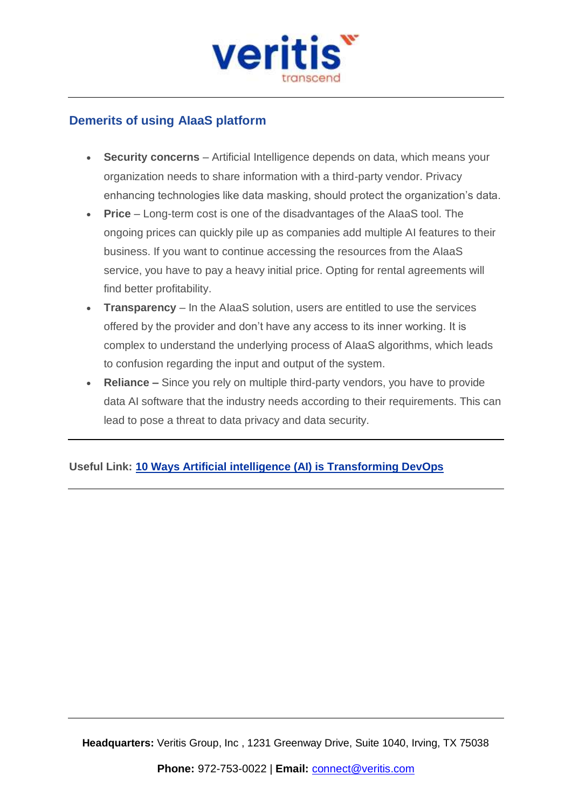

## **Demerits of using AIaaS platform**

- **Security concerns** Artificial Intelligence depends on data, which means your organization needs to share information with a third-party vendor. Privacy enhancing technologies like data masking, should protect the organization's data.
- **Price** Long-term cost is one of the disadvantages of the AIaaS tool. The ongoing prices can quickly pile up as companies add multiple AI features to their business. If you want to continue accessing the resources from the AIaaS service, you have to pay a heavy initial price. Opting for rental agreements will find better profitability.
- **Transparency** In the AIaaS solution, users are entitled to use the services offered by the provider and don't have any access to its inner working. It is complex to understand the underlying process of AIaaS algorithms, which leads to confusion regarding the input and output of the system.
- **Reliance –** Since you rely on multiple third-party vendors, you have to provide data AI software that the industry needs according to their requirements. This can lead to pose a threat to data privacy and data security.

#### **Useful Link: 10 Ways Artificial intelligence (AI) is [Transforming](https://www.veritis.com/blog/10-ways-ai-is-transforming-devops/) DevOps**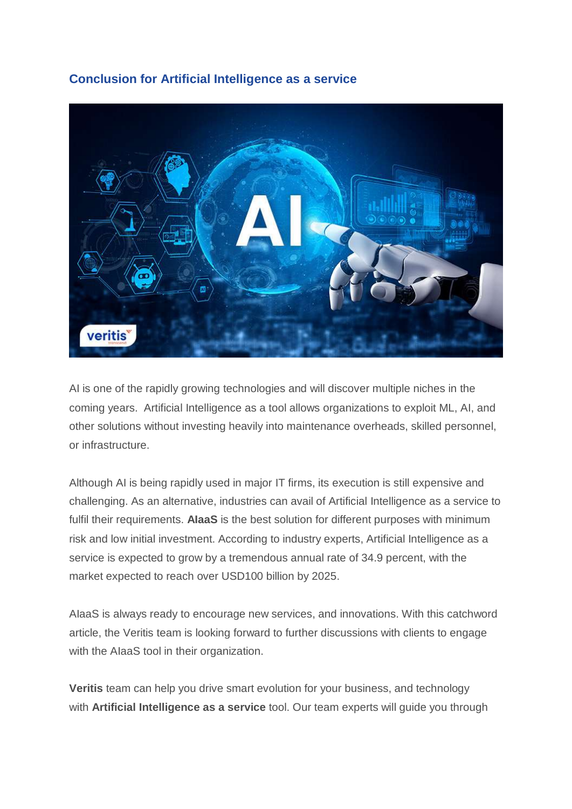#### **Conclusion for Artificial Intelligence as a service**



AI is one of the rapidly growing technologies and will discover multiple niches in the coming years. Artificial Intelligence as a tool allows organizations to exploit ML, AI, and other solutions without investing heavily into maintenance overheads, skilled personnel, or infrastructure.

Although AI is being rapidly used in major IT firms, its execution is still expensive and challenging. As an alternative, industries can avail of Artificial Intelligence as a service to fulfil their requirements. **AIaaS** is the best solution for different purposes with minimum risk and low initial investment. According to industry experts, Artificial Intelligence as a service is expected to grow by a tremendous annual rate of 34.9 percent, with the market expected to reach over USD100 billion by 2025.

AIaaS is always ready to encourage new services, and innovations. With this catchword article, the Veritis team is looking forward to further discussions with clients to engage with the AIaaS tool in their organization.

**Veritis** team can help you drive smart evolution for your business, and technology with **Artificial Intelligence as a service** tool. Our team experts will guide you through